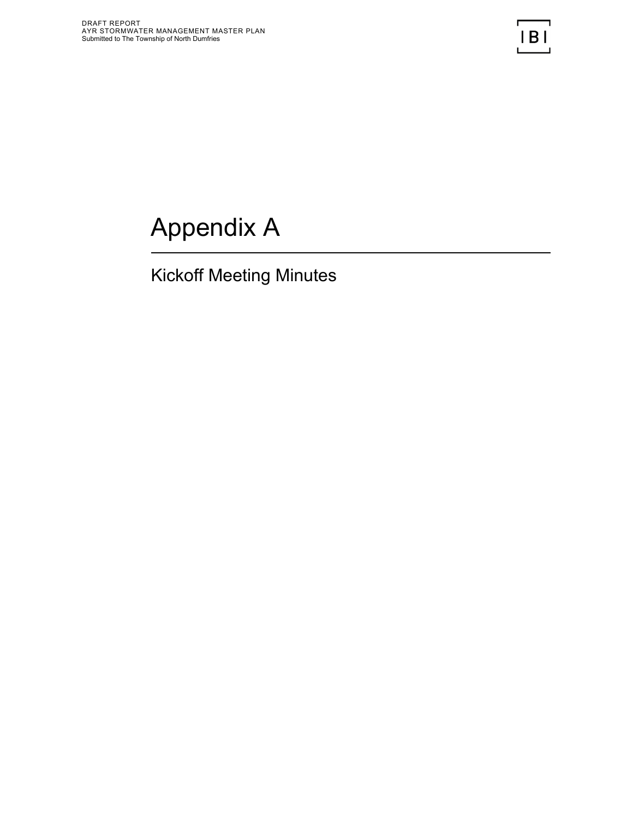## Appendix A

## Kickoff Meeting Minutes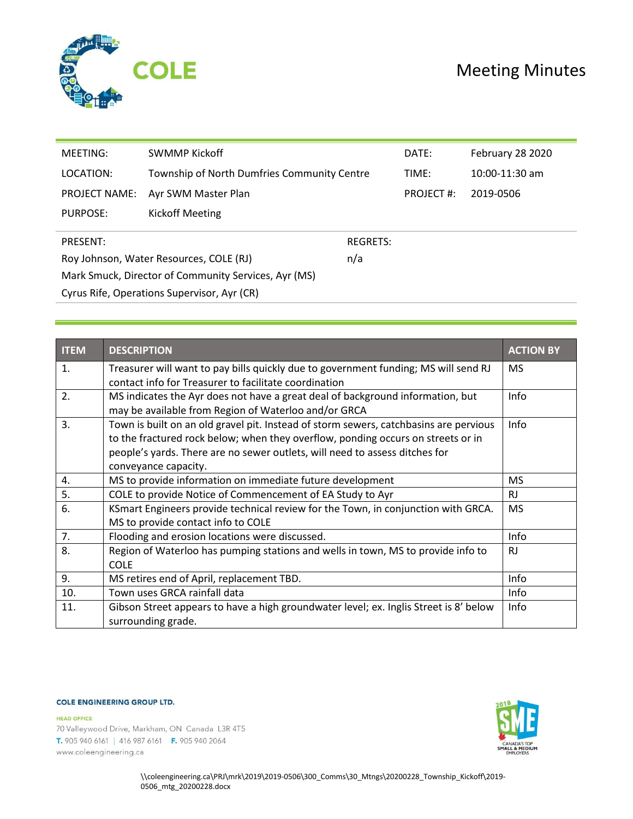

| MEETING:                                             | <b>SWMMP Kickoff</b>                        |                 | DATE:     | February 28 2020 |  |
|------------------------------------------------------|---------------------------------------------|-----------------|-----------|------------------|--|
| LOCATION:                                            | Township of North Dumfries Community Centre |                 | TIME:     | $10:00-11:30$ am |  |
| <b>PROJECT NAME:</b>                                 | Ayr SWM Master Plan                         |                 | PROJECT#: | 2019-0506        |  |
| PURPOSE:                                             | Kickoff Meeting                             |                 |           |                  |  |
| PRESENT:                                             |                                             | <b>REGRETS:</b> |           |                  |  |
| Roy Johnson, Water Resources, COLE (RJ)              |                                             | n/a             |           |                  |  |
| Mark Smuck, Director of Community Services, Ayr (MS) |                                             |                 |           |                  |  |
| Cyrus Rife, Operations Supervisor, Ayr (CR)          |                                             |                 |           |                  |  |

| <b>ITEM</b> | <b>DESCRIPTION</b>                                                                                                                           | <b>ACTION BY</b> |  |  |
|-------------|----------------------------------------------------------------------------------------------------------------------------------------------|------------------|--|--|
| 1.          | Treasurer will want to pay bills quickly due to government funding; MS will send RJ<br>contact info for Treasurer to facilitate coordination | <b>MS</b>        |  |  |
| 2.          | MS indicates the Ayr does not have a great deal of background information, but                                                               |                  |  |  |
|             | may be available from Region of Waterloo and/or GRCA                                                                                         | Info             |  |  |
| 3.          | Town is built on an old gravel pit. Instead of storm sewers, catchbasins are pervious                                                        | Info             |  |  |
|             | to the fractured rock below; when they overflow, ponding occurs on streets or in                                                             |                  |  |  |
|             | people's yards. There are no sewer outlets, will need to assess ditches for                                                                  |                  |  |  |
|             | conveyance capacity.                                                                                                                         |                  |  |  |
| 4.          | MS to provide information on immediate future development                                                                                    | MS.              |  |  |
| 5.          | COLE to provide Notice of Commencement of EA Study to Ayr                                                                                    | RJ               |  |  |
| 6.          | KSmart Engineers provide technical review for the Town, in conjunction with GRCA.                                                            | <b>MS</b>        |  |  |
|             | MS to provide contact info to COLE                                                                                                           |                  |  |  |
| 7.          | Flooding and erosion locations were discussed.                                                                                               | Info             |  |  |
| 8.          | Region of Waterloo has pumping stations and wells in town, MS to provide info to                                                             | <b>RJ</b>        |  |  |
|             | <b>COLE</b>                                                                                                                                  |                  |  |  |
| 9.          | MS retires end of April, replacement TBD.                                                                                                    | Info             |  |  |
| 10.         | Town uses GRCA rainfall data                                                                                                                 | Info             |  |  |
| 11.         | Gibson Street appears to have a high groundwater level; ex. Inglis Street is 8' below                                                        | Info             |  |  |
|             | surrounding grade.                                                                                                                           |                  |  |  |

## **COLE ENGINEERING GROUP LTD.**

**HEAD OFFICE** 

70 Valleywood Drive, Markham, ON Canada L3R 4T5 T. 905 940 6161 | 416 987 6161 F. 905 940 2064 www.coleengineering.ca